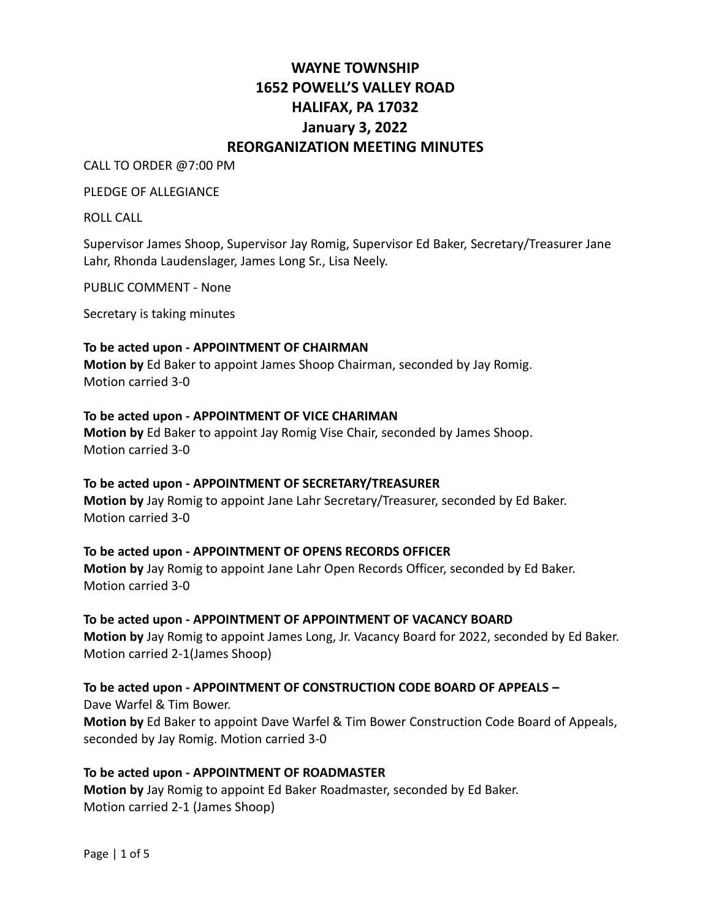# **WAYNE TOWNSHIP 1652 POWELL'S VALLEY ROAD HALIFAX, PA 17032 January 3, 2022 REORGANIZATION MEETING MINUTES**

CALL TO ORDER @7:00 PM

PLEDGE OF ALLEGIANCE

ROLL CALL

Supervisor James Shoop, Supervisor Jay Romig, Supervisor Ed Baker, Secretary/Treasurer Jane Lahr, Rhonda Laudenslager, James Long Sr., Lisa Neely.

PUBLIC COMMENT - None

Secretary is taking minutes

#### **To be acted upon - APPOINTMENT OF CHAIRMAN**

**Motion by** Ed Baker to appoint James Shoop Chairman, seconded by Jay Romig. Motion carried 3-0

#### **To be acted upon - APPOINTMENT OF VICE CHARIMAN**

**Motion by** Ed Baker to appoint Jay Romig Vise Chair, seconded by James Shoop. Motion carried 3-0

# **To be acted upon - APPOINTMENT OF SECRETARY/TREASURER**

**Motion by** Jay Romig to appoint Jane Lahr Secretary/Treasurer, seconded by Ed Baker. Motion carried 3-0

### **To be acted upon - APPOINTMENT OF OPENS RECORDS OFFICER**

**Motion by** Jay Romig to appoint Jane Lahr Open Records Officer, seconded by Ed Baker. Motion carried 3-0

# **To be acted upon - APPOINTMENT OF APPOINTMENT OF VACANCY BOARD**

**Motion by** Jay Romig to appoint James Long, Jr. Vacancy Board for 2022, seconded by Ed Baker. Motion carried 2-1(James Shoop)

# **To be acted upon - APPOINTMENT OF CONSTRUCTION CODE BOARD OF APPEALS –** Dave Warfel & Tim Bower.

**Motion by** Ed Baker to appoint Dave Warfel & Tim Bower Construction Code Board of Appeals, seconded by Jay Romig. Motion carried 3-0

### **To be acted upon - APPOINTMENT OF ROADMASTER**

**Motion by** Jay Romig to appoint Ed Baker Roadmaster, seconded by Ed Baker. Motion carried 2-1 (James Shoop)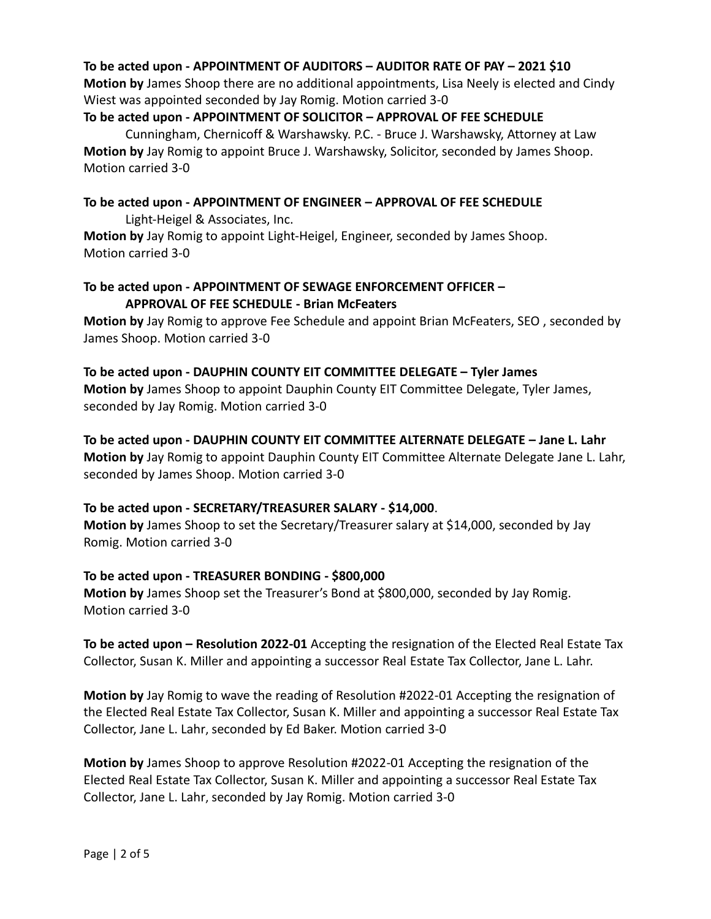# **To be acted upon - APPOINTMENT OF AUDITORS – AUDITOR RATE OF PAY – 2021 \$10**

**Motion by** James Shoop there are no additional appointments, Lisa Neely is elected and Cindy Wiest was appointed seconded by Jay Romig. Motion carried 3-0

# **To be acted upon - APPOINTMENT OF SOLICITOR – APPROVAL OF FEE SCHEDULE**

Cunningham, Chernicoff & Warshawsky. P.C. - Bruce J. Warshawsky, Attorney at Law **Motion by** Jay Romig to appoint Bruce J. Warshawsky, Solicitor, seconded by James Shoop. Motion carried 3-0

### **To be acted upon - APPOINTMENT OF ENGINEER – APPROVAL OF FEE SCHEDULE**

Light-Heigel & Associates, Inc.

**Motion by** Jay Romig to appoint Light-Heigel, Engineer, seconded by James Shoop. Motion carried 3-0

# **To be acted upon - APPOINTMENT OF SEWAGE ENFORCEMENT OFFICER – APPROVAL OF FEE SCHEDULE - Brian McFeaters**

**Motion by** Jay Romig to approve Fee Schedule and appoint Brian McFeaters, SEO , seconded by James Shoop. Motion carried 3-0

**To be acted upon - DAUPHIN COUNTY EIT COMMITTEE DELEGATE – Tyler James Motion by** James Shoop to appoint Dauphin County EIT Committee Delegate, Tyler James, seconded by Jay Romig. Motion carried 3-0

**To be acted upon - DAUPHIN COUNTY EIT COMMITTEE ALTERNATE DELEGATE – Jane L. Lahr Motion by** Jay Romig to appoint Dauphin County EIT Committee Alternate Delegate Jane L. Lahr, seconded by James Shoop. Motion carried 3-0

# **To be acted upon - SECRETARY/TREASURER SALARY - \$14,000**.

**Motion by** James Shoop to set the Secretary/Treasurer salary at \$14,000, seconded by Jay Romig. Motion carried 3-0

# **To be acted upon - TREASURER BONDING - \$800,000**

**Motion by** James Shoop set the Treasurer's Bond at \$800,000, seconded by Jay Romig. Motion carried 3-0

**To be acted upon – Resolution 2022-01** Accepting the resignation of the Elected Real Estate Tax Collector, Susan K. Miller and appointing a successor Real Estate Tax Collector, Jane L. Lahr.

**Motion by** Jay Romig to wave the reading of Resolution #2022-01 Accepting the resignation of the Elected Real Estate Tax Collector, Susan K. Miller and appointing a successor Real Estate Tax Collector, Jane L. Lahr, seconded by Ed Baker. Motion carried 3-0

**Motion by** James Shoop to approve Resolution #2022-01 Accepting the resignation of the Elected Real Estate Tax Collector, Susan K. Miller and appointing a successor Real Estate Tax Collector, Jane L. Lahr, seconded by Jay Romig. Motion carried 3-0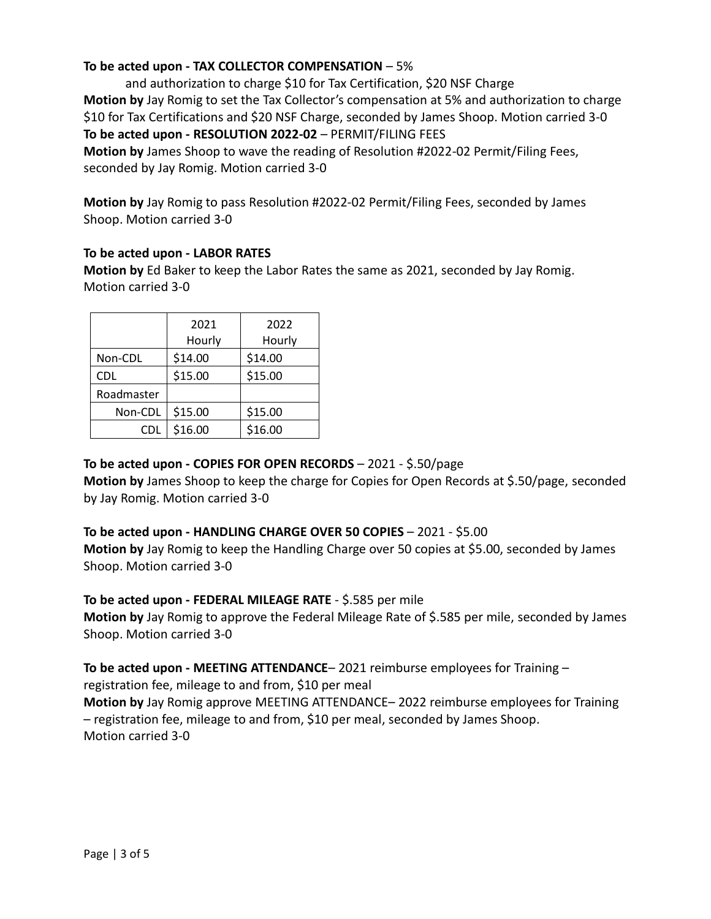# **To be acted upon - TAX COLLECTOR COMPENSATION** – 5%

and authorization to charge \$10 for Tax Certification, \$20 NSF Charge **Motion by** Jay Romig to set the Tax Collector's compensation at 5% and authorization to charge \$10 for Tax Certifications and \$20 NSF Charge, seconded by James Shoop. Motion carried 3-0 **To be acted upon - RESOLUTION 2022-02** – PERMIT/FILING FEES

**Motion by** James Shoop to wave the reading of Resolution #2022-02 Permit/Filing Fees, seconded by Jay Romig. Motion carried 3-0

**Motion by** Jay Romig to pass Resolution #2022-02 Permit/Filing Fees, seconded by James Shoop. Motion carried 3-0

### **To be acted upon - LABOR RATES**

**Motion by** Ed Baker to keep the Labor Rates the same as 2021, seconded by Jay Romig. Motion carried 3-0

| 2021<br>Hourly | 2022<br>Hourly |  |  |  |  |
|----------------|----------------|--|--|--|--|
| \$14.00        | \$14.00        |  |  |  |  |
| \$15.00        | \$15.00        |  |  |  |  |
|                |                |  |  |  |  |
| \$15.00        | \$15.00        |  |  |  |  |
| \$16.00        | \$16.00        |  |  |  |  |
|                |                |  |  |  |  |

**To be acted upon - COPIES FOR OPEN RECORDS** – 2021 - \$.50/page

**Motion by** James Shoop to keep the charge for Copies for Open Records at \$.50/page, seconded by Jay Romig. Motion carried 3-0

### **To be acted upon - HANDLING CHARGE OVER 50 COPIES** – 2021 - \$5.00

**Motion by** Jay Romig to keep the Handling Charge over 50 copies at \$5.00, seconded by James Shoop. Motion carried 3-0

### **To be acted upon - FEDERAL MILEAGE RATE** - \$.585 per mile

**Motion by** Jay Romig to approve the Federal Mileage Rate of \$.585 per mile, seconded by James Shoop. Motion carried 3-0

**To be acted upon - MEETING ATTENDANCE**– 2021 reimburse employees for Training – registration fee, mileage to and from, \$10 per meal

**Motion by** Jay Romig approve MEETING ATTENDANCE– 2022 reimburse employees for Training – registration fee, mileage to and from, \$10 per meal, seconded by James Shoop. Motion carried 3-0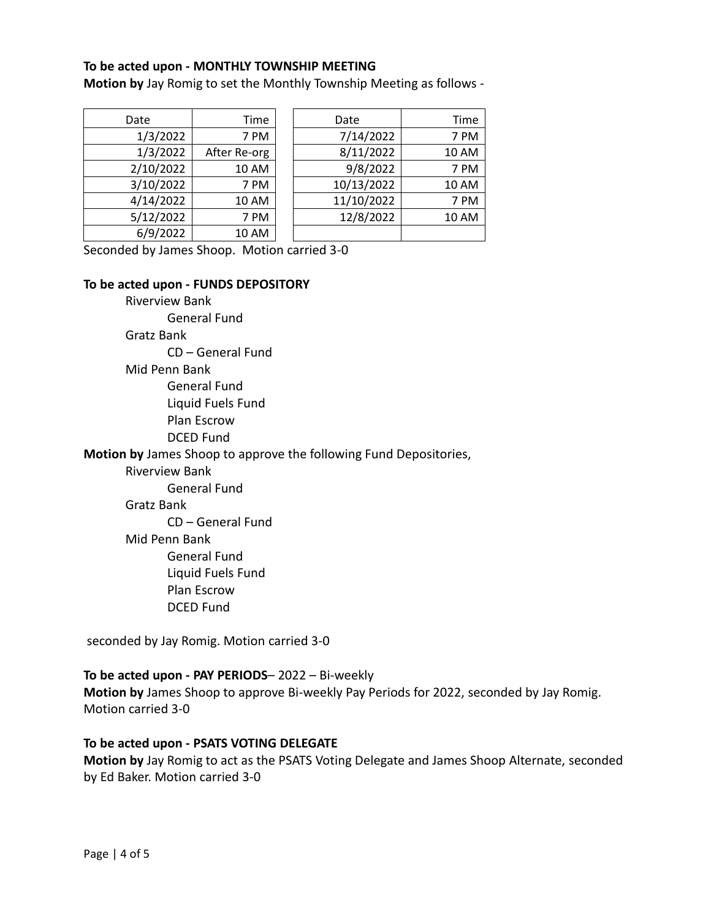#### **To be acted upon - MONTHLY TOWNSHIP MEETING**

**Motion by** Jay Romig to set the Monthly Township Meeting as follows -

| Date      | Time         | Date       | Time         |
|-----------|--------------|------------|--------------|
| 1/3/2022  | 7 PM         | 7/14/2022  | 7 PM         |
| 1/3/2022  | After Re-org | 8/11/2022  | <b>10 AM</b> |
| 2/10/2022 | <b>10 AM</b> | 9/8/2022   | 7 PM         |
| 3/10/2022 | 7 PM         | 10/13/2022 | <b>10 AM</b> |
| 4/14/2022 | <b>10 AM</b> | 11/10/2022 | 7 PM         |
| 5/12/2022 | 7 PM         | 12/8/2022  | 10 AM        |
| 6/9/2022  | <b>10 AM</b> |            |              |

Seconded by James Shoop. Motion carried 3-0

#### **To be acted upon - FUNDS DEPOSITORY**

Riverview Bank

General Fund

Gratz Bank

CD – General Fund

Mid Penn Bank

General Fund

Liquid Fuels Fund

Plan Escrow

DCED Fund

**Motion by** James Shoop to approve the following Fund Depositories,

Riverview Bank

General Fund

#### Gratz Bank

CD – General Fund

Mid Penn Bank

General Fund

Liquid Fuels Fund

- Plan Escrow
- DCED Fund

seconded by Jay Romig. Motion carried 3-0

#### **To be acted upon - PAY PERIODS**– 2022 – Bi-weekly

**Motion by** James Shoop to approve Bi-weekly Pay Periods for 2022, seconded by Jay Romig. Motion carried 3-0

### **To be acted upon - PSATS VOTING DELEGATE**

**Motion by** Jay Romig to act as the PSATS Voting Delegate and James Shoop Alternate, seconded by Ed Baker. Motion carried 3-0